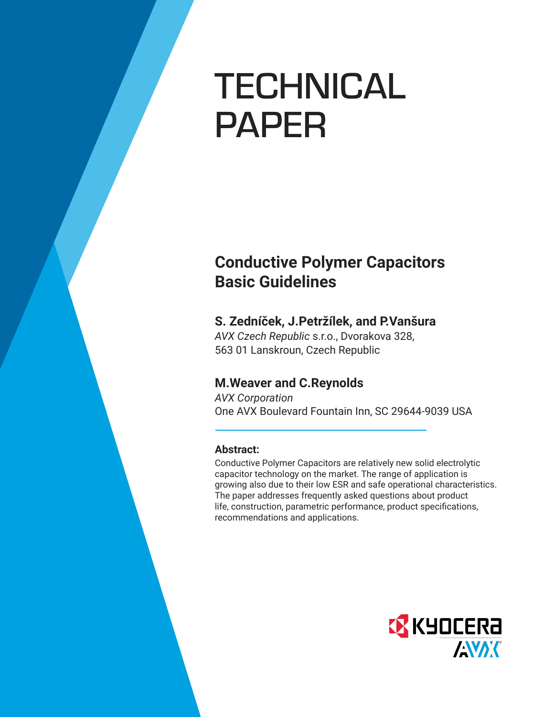# TECHNICAL PAPER

# **Conductive Polymer Capacitors Basic Guidelines**

# **S. Zedníček, J.Petržílek, and P.Vanšura**

*AVX Czech Republic* s.r.o., Dvorakova 328, 563 01 Lanskroun, Czech Republic

# **M.Weaver and C.Reynolds**

*AVX Corporation* One AVX Boulevard Fountain Inn, SC 29644-9039 USA

# **Abstract:**

Conductive Polymer Capacitors are relatively new solid electrolytic capacitor technology on the market. The range of application is growing also due to their low ESR and safe operational characteristics. The paper addresses frequently asked questions about product life, construction, parametric performance, product specifications, recommendations and applications.

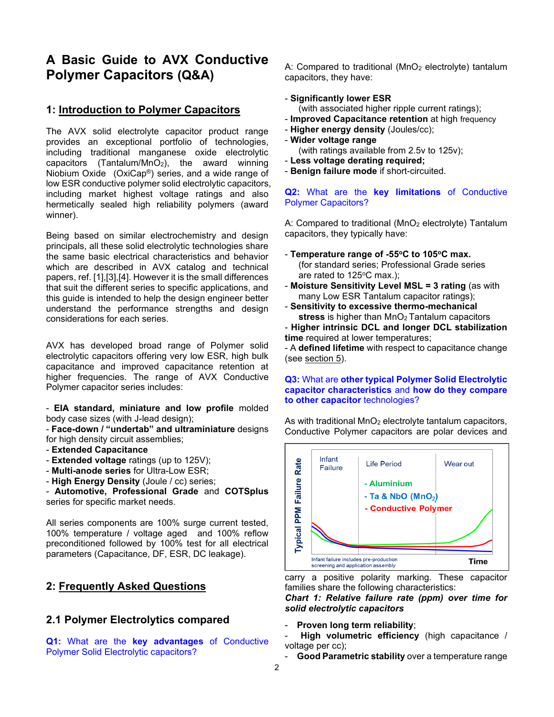# **A Basic Guide to AVX Conductive Polymer Capacitors (Q&A)**

# **1: Introduction to Polymer Capacitors**

The AVX solid electrolyte capacitor product range provides an exceptional portfolio of technologies, including traditional manganese oxide electrolytic capacitors (Tantalum/MnO<sub>2</sub>), the award winning Niobium Oxide (OxiCap®) series, and a wide range of low ESR conductive polymer solid electrolytic capacitors, including market highest voltage ratings and also hermetically sealed high reliability polymers (award winner).

Being based on similar electrochemistry and design principals, all these solid electrolytic technologies share the same basic electrical characteristics and behavior which are described in AVX catalog and technical papers, ref. [1],[3],[4]. However it is the small differences that suit the different series to specific applications, and this guide is intended to help the design engineer better understand the performance strengths and design considerations for each series.

AVX has developed broad range of Polymer solid electrolytic capacitors offering very low ESR, high bulk capacitance and improved capacitance retention at higher frequencies. The range of AVX Conductive Polymer capacitor series includes:

- **EIA standard, miniature and low profile** molded body case sizes (with J-lead design);

- **Face-down / "undertab" and ultraminiature** designs for high density circuit assemblies;

- **Extended Capacitance**
- **Extended voltage** ratings (up to 125V);
- **Multi-anode series** for Ultra-Low ESR;

- **High Energy Density** (Joule / cc) series;

- **Automotive, Professional Grade** and **COTSplus** series for specific market needs.

All series components are 100% surge current tested, 100% temperature / voltage aged and 100% reflow preconditioned followed by 100% test for all electrical parameters (Capacitance, DF, ESR, DC leakage).

# **2: Frequently Asked Questions**

# **2.1 Polymer Electrolytics compared**

**Q1:** What are the **key advantages** of Conductive Polymer Solid Electrolytic capacitors?

A: Compared to traditional  $(MnO<sub>2</sub>$  electrolyte) tantalum capacitors, they have:

# - **Significantly lower ESR**

(with associated higher ripple current ratings);

- **Improved Capacitance retention** at high frequency
- **Higher energy density** (Joules/cc);
- **Wider voltage range**
	- (with ratings available from 2.5v to 125v);
- **Less voltage derating required;**
- **Benign failure mode** if short-circuited.

# **Q2:** What are the **key limitations** of Conductive Polymer Capacitors?

A: Compared to traditional (MnO<sub>2</sub> electrolyte) Tantalum capacitors, they typically have:

- **Temperature range of -55<sup>o</sup>C to 105<sup>o</sup>C max.** (for standard series; Professional Grade series are rated to 125°C max.):
- **Moisture Sensitivity Level MSL = 3 rating** (as with many Low ESR Tantalum capacitor ratings);
- **Sensitivity to excessive thermo-mechanical** stress is higher than MnO<sub>2</sub> Tantalum capacitors
- **Higher intrinsic DCL and longer DCL stabilization time** required at lower temperatures;

- A **defined lifetime** with respect to capacitance change (see section 5).

# **Q3:** What are **other typical Polymer Solid Electrolytic capacitor characteristics** and **how do they compare to other capacitor** technologies?

As with traditional  $MnO<sub>2</sub>$  electrolyte tantalum capacitors, Conductive Polymer capacitors are polar devices and



carry a positive polarity marking. These capacitor families share the following characteristics:

*Chart 1: Relative failure rate (ppm) over time for solid electrolytic capacitors*

- **Proven long term reliability**;
- **High volumetric efficiency** (high capacitance / voltage per cc);
- Good Parametric stability over a temperature range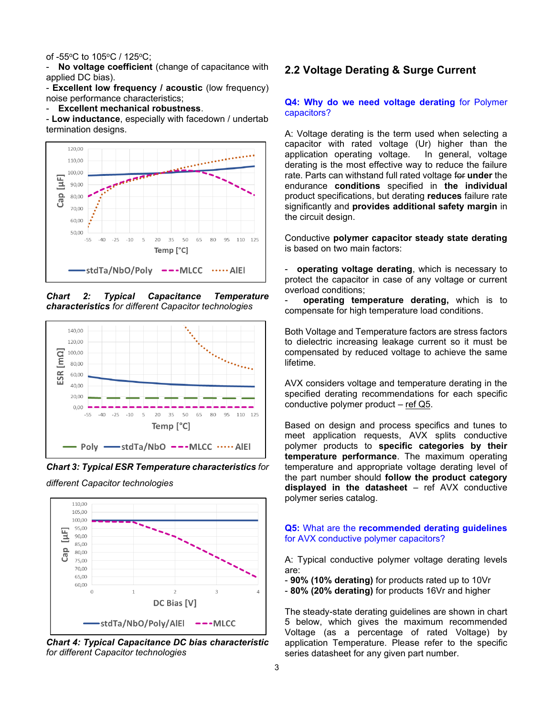#### of -55°C to 105°C / 125°C:

- **No voltage coefficient** (change of capacitance with applied DC bias).

- **Excellent low frequency / acoustic** (low frequency) noise performance characteristics;

- **Excellent mechanical robustness**.

- **Low inductance**, especially with facedown / undertab termination designs.



*Chart 2: Typical Capacitance Temperature characteristics for different Capacitor technologies*



*Chart 3: Typical ESR Temperature characteristics for* 

*different Capacitor technologies*



*Chart 4: Typical Capacitance DC bias characteristic for different Capacitor technologies*

# **2.2 Voltage Derating & Surge Current**

#### **Q4: Why do we need voltage derating** for Polymer capacitors?

A: Voltage derating is the term used when selecting a capacitor with rated voltage (Ur) higher than the application operating voltage. In general, voltage derating is the most effective way to reduce the failure rate. Parts can withstand full rated voltage for **under** the endurance **conditions** specified in **the individual** product specifications, but derating **reduces** failure rate significantly and **provides additional safety margin** in the circuit design.

Conductive **polymer capacitor steady state derating** is based on two main factors:

- **operating voltage derating**, which is necessary to protect the capacitor in case of any voltage or current overload conditions;

- **operating temperature derating,** which is to compensate for high temperature load conditions.

Both Voltage and Temperature factors are stress factors to dielectric increasing leakage current so it must be compensated by reduced voltage to achieve the same lifetime.

AVX considers voltage and temperature derating in the specified derating recommendations for each specific conductive polymer product – ref Q5.

Based on design and process specifics and tunes to meet application requests, AVX splits conductive polymer products to **specific categories by their temperature performance**. The maximum operating temperature and appropriate voltage derating level of the part number should **follow the product category displayed in the datasheet** – ref AVX conductive polymer series catalog.

#### **Q5:** What are the **recommended derating guidelines** for AVX conductive polymer capacitors?

A: Typical conductive polymer voltage derating levels are:

- **90% (10% derating)** for products rated up to 10Vr

- **80% (20% derating)** for products 16Vr and higher

The steady-state derating guidelines are shown in chart 5 below, which gives the maximum recommended Voltage (as a percentage of rated Voltage) by application Temperature. Please refer to the specific series datasheet for any given part number.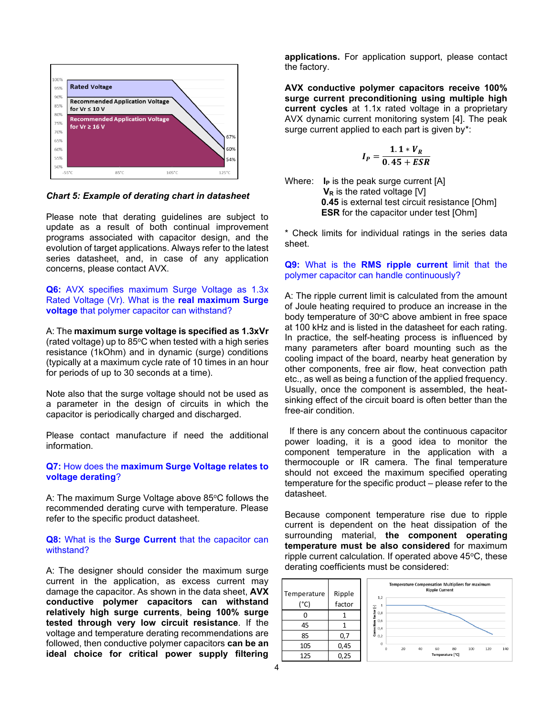

*Chart 5: Example of derating chart in datasheet*

Please note that derating guidelines are subject to update as a result of both continual improvement programs associated with capacitor design, and the evolution of target applications. Always refer to the latest series datasheet, and, in case of any application concerns, please contact AVX.

**Q6:** AVX specifies maximum Surge Voltage as 1.3x Rated Voltage (Vr). What is the **real maximum Surge voltage** that polymer capacitor can withstand?

A: The **maximum surge voltage is specified as 1.3xVr** (rated voltage) up to  $85^{\circ}$ C when tested with a high series resistance (1kOhm) and in dynamic (surge) conditions (typically at a maximum cycle rate of 10 times in an hour for periods of up to 30 seconds at a time).

Note also that the surge voltage should not be used as a parameter in the design of circuits in which the capacitor is periodically charged and discharged.

Please contact manufacture if need the additional information.

# **Q7:** How does the **maximum Surge Voltage relates to voltage derating**?

A: The maximum Surge Voltage above 85°C follows the recommended derating curve with temperature. Please refer to the specific product datasheet.

# **Q8:** What is the **Surge Current** that the capacitor can withstand?

A: The designer should consider the maximum surge current in the application, as excess current may damage the capacitor. As shown in the data sheet, **AVX conductive polymer capacitors can withstand relatively high surge currents**, **being 100% surge tested through very low circuit resistance**. If the voltage and temperature derating recommendations are followed, then conductive polymer capacitors **can be an ideal choice for critical power supply filtering** 

**applications.** For application support, please contact the factory.

**AVX conductive polymer capacitors receive 100% surge current preconditioning using multiple high current cycles** at 1.1x rated voltage in a proprietary AVX dynamic current monitoring system [4]. The peak surge current applied to each part is given by\*:

$$
I_P=\frac{1.1*V_R}{0.45+ESR}
$$

Where: **I<sub>P</sub>** is the peak surge current [A] **V<sub>R</sub>** is the rated voltage [V]  **0.45** is external test circuit resistance [Ohm] **ESR** for the capacitor under test [Ohm]

\* Check limits for individual ratings in the series data sheet.

# **Q9:** What is the **RMS ripple current** limit that the polymer capacitor can handle continuously?

A: The ripple current limit is calculated from the amount of Joule heating required to produce an increase in the body temperature of 30°C above ambient in free space at 100 kHz and is listed in the datasheet for each rating. In practice, the self-heating process is influenced by many parameters after board mounting such as the cooling impact of the board, nearby heat generation by other components, free air flow, heat convection path etc., as well as being a function of the applied frequency. Usually, once the component is assembled, the heatsinking effect of the circuit board is often better than the free-air condition.

If there is any concern about the continuous capacitor power loading, it is a good idea to monitor the component temperature in the application with a thermocouple or IR camera. The final temperature should not exceed the maximum specified operating temperature for the specific product – please refer to the datasheet.

Because component temperature rise due to ripple current is dependent on the heat dissipation of the surrounding material, **the component operating temperature must be also considered** for maximum ripple current calculation. If operated above  $45^{\circ}$ C, these derating coefficients must be considered:

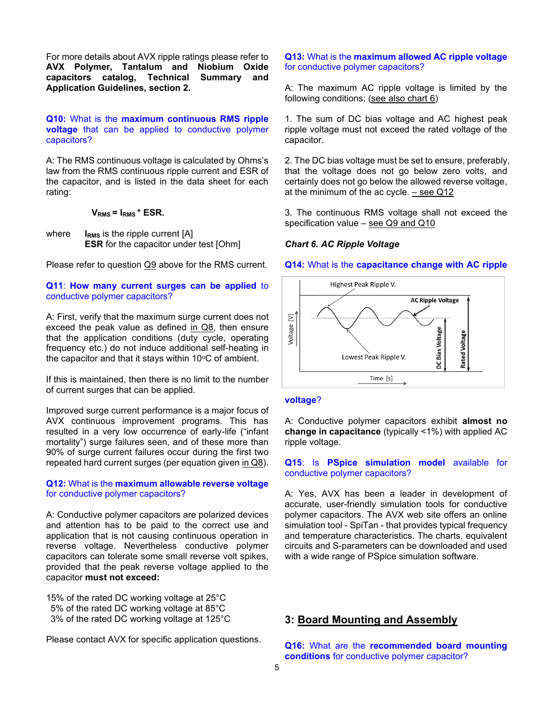For more details about AVX ripple ratings please refer to **AVX Polymer, Tantalum and Niobium Oxide capacitors catalog, Technical Summary and Application Guidelines, section 2.**

# **Q10:** What is the **maximum continuous RMS ripple voltage** that can be applied to conductive polymer capacitors?

A: The RMS continuous voltage is calculated by Ohms's law from the RMS continuous ripple current and ESR of the capacitor, and is listed in the data sheet for each rating:

# **VRMS = IRMS \* ESR.**

where **I<sub>RMS</sub>** is the ripple current [A] **ESR** for the capacitor under test [Ohm]

Please refer to question Q9 above for the RMS current.

# **Q11**: **How many current surges can be applied** to conductive polymer capacitors?

A: First, verify that the maximum surge current does not exceed the peak value as defined in Q8, then ensure that the application conditions (duty cycle, operating frequency etc.) do not induce additional self-heating in the capacitor and that it stays within  $10^{\circ}$ C of ambient.

If this is maintained, then there is no limit to the number of current surges that can be applied.

Improved surge current performance is a major focus of AVX continuous improvement programs. This has resulted in a very low occurrence of early-life ("infant mortality") surge failures seen, and of these more than 90% of surge current failures occur during the first two repeated hard current surges (per equation given in Q8).

# **Q12:** What is the **maximum allowable reverse voltage**  for conductive polymer capacitors?

A: Conductive polymer capacitors are polarized devices and attention has to be paid to the correct use and application that is not causing continuous operation in reverse voltage. Nevertheless conductive polymer capacitors can tolerate some small reverse volt spikes, provided that the peak reverse voltage applied to the capacitor **must not exceed:**

15% of the rated DC working voltage at 25°C 5% of the rated DC working voltage at 85°C 3% of the rated DC working voltage at 125°C

Please contact AVX for specific application questions.

**Q13:** What is the **maximum allowed AC ripple voltage**  for conductive polymer capacitors?

A: The maximum AC ripple voltage is limited by the following conditions: (see also chart 6)

1. The sum of DC bias voltage and AC highest peak ripple voltage must not exceed the rated voltage of the capacitor.

2. The DC bias voltage must be set to ensure, preferably, that the voltage does not go below zero volts, and certainly does not go below the allowed reverse voltage, at the minimum of the ac cycle. – see Q12

3. The continuous RMS voltage shall not exceed the specification value – see Q9 and Q10

# *Chart 6. AC Ripple Voltage*

#### **Q14:** What is the **capacitance change with AC ripple**



#### **voltage**?

A: Conductive polymer capacitors exhibit **almost no change in capacitance** (typically <1%) with applied AC ripple voltage.

# **Q15**: Is **PSpice simulation model** available for conductive polymer capacitors?

A: Yes, AVX has been a leader in development of accurate, user-friendly simulation tools for conductive polymer capacitors. The AVX web site offers an online simulation tool - SpiTan - that provides typical frequency and temperature characteristics. The charts, equivalent circuits and S-parameters can be downloaded and used with a wide range of PSpice simulation software.

# **3: Board Mounting and Assembly**

**Q16:** What are the **recommended board mounting conditions** for conductive polymer capacitor?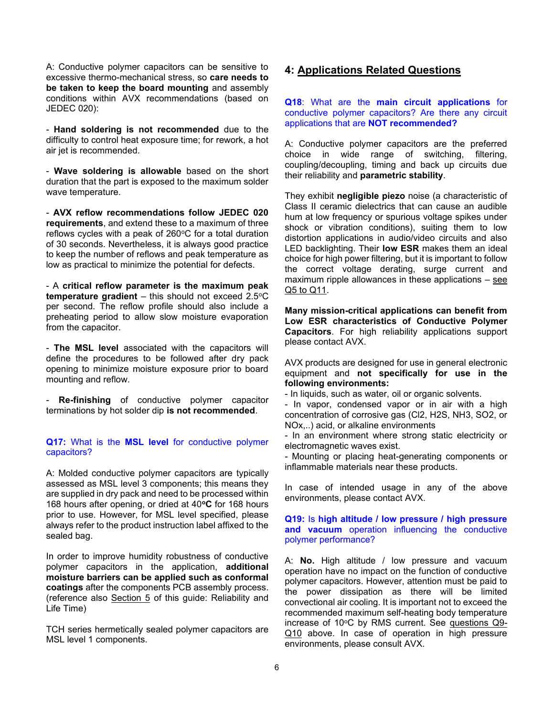A: Conductive polymer capacitors can be sensitive to excessive thermo-mechanical stress, so **care needs to be taken to keep the board mounting** and assembly conditions within AVX recommendations (based on JEDEC 020):

- **Hand soldering is not recommended** due to the difficulty to control heat exposure time; for rework, a hot air jet is recommended.

- **Wave soldering is allowable** based on the short duration that the part is exposed to the maximum solder wave temperature.

- **AVX reflow recommendations follow JEDEC 020 requirements**, and extend these to a maximum of three reflows cycles with a peak of  $260^{\circ}$ C for a total duration of 30 seconds. Nevertheless, it is always good practice to keep the number of reflows and peak temperature as low as practical to minimize the potential for defects.

- A **critical reflow parameter is the maximum peak temperature gradient**  $-$  this should not exceed 2.5 $\degree$ C per second. The reflow profile should also include a preheating period to allow slow moisture evaporation from the capacitor.

- **The MSL level** associated with the capacitors will define the procedures to be followed after dry pack opening to minimize moisture exposure prior to board mounting and reflow.

**Re-finishing** of conductive polymer capacitor terminations by hot solder dip **is not recommended**.

# **Q17:** What is the **MSL level** for conductive polymer capacitors?

A: Molded conductive polymer capacitors are typically assessed as MSL level 3 components; this means they are supplied in dry pack and need to be processed within 168 hours after opening, or dried at 40**<sup>o</sup>C** for 168 hours prior to use. However, for MSL level specified, please always refer to the product instruction label affixed to the sealed bag.

In order to improve humidity robustness of conductive polymer capacitors in the application, **additional moisture barriers can be applied such as conformal coatings** after the components PCB assembly process. (reference also Section 5 of this guide: Reliability and Life Time)

TCH series hermetically sealed polymer capacitors are MSL level 1 components.

# **4: Applications Related Questions**

**Q18**: What are the **main circuit applications** for conductive polymer capacitors? Are there any circuit applications that are **NOT recommended?**

A: Conductive polymer capacitors are the preferred choice in wide range of switching, filtering, coupling/decoupling, timing and back up circuits due their reliability and **parametric stability**.

They exhibit **negligible piezo** noise (a characteristic of Class II ceramic dielectrics that can cause an audible hum at low frequency or spurious voltage spikes under shock or vibration conditions), suiting them to low distortion applications in audio/video circuits and also LED backlighting. Their **low ESR** makes them an ideal choice for high power filtering, but it is important to follow the correct voltage derating, surge current and maximum ripple allowances in these applications  $-$  see Q5 to Q11.

**Many mission-critical applications can benefit from Low ESR characteristics of Conductive Polymer Capacitors**. For high reliability applications support please contact AVX.

AVX products are designed for use in general electronic equipment and **not specifically for use in the following environments:**

- In liquids, such as water, oil or organic solvents.

- In vapor, condensed vapor or in air with a high concentration of corrosive gas (Cl2, H2S, NH3, SO2, or NOx,..) acid, or alkaline environments

- In an environment where strong static electricity or electromagnetic waves exist.

- Mounting or placing heat-generating components or inflammable materials near these products.

In case of intended usage in any of the above environments, please contact AVX.

# **Q19:** Is **high altitude / low pressure / high pressure and vacuum** operation influencing the conductive polymer performance?

A: **No.** High altitude / low pressure and vacuum operation have no impact on the function of conductive polymer capacitors. However, attention must be paid to the power dissipation as there will be limited convectional air cooling. It is important not to exceed the recommended maximum self-heating body temperature increase of 10 $\degree$ C by RMS current. See questions Q9-Q10 above. In case of operation in high pressure environments, please consult AVX.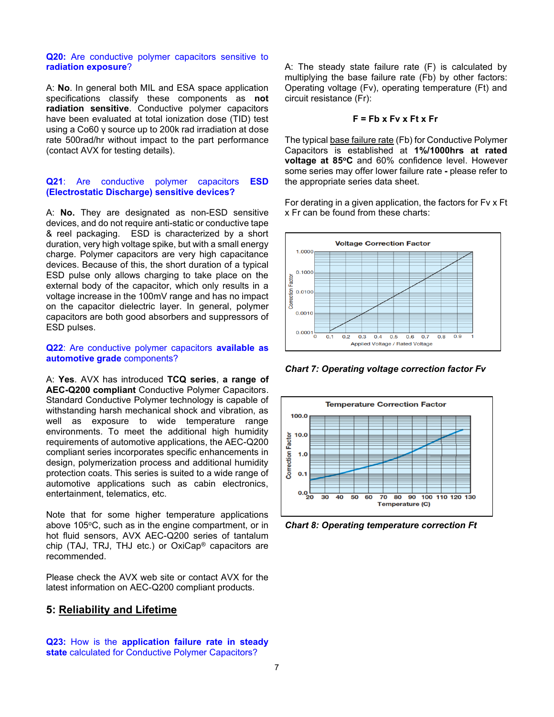#### **Q20:** Are conductive polymer capacitors sensitive to **radiation exposure**?

A: **No**. In general both MIL and ESA space application specifications classify these components as **not radiation sensitive**. Conductive polymer capacitors have been evaluated at total ionization dose (TID) test using a Co60 γ source up to 200k rad irradiation at dose rate 500rad/hr without impact to the part performance (contact AVX for testing details).

#### **Q21**: Are conductive polymer capacitors **ESD (Electrostatic Discharge) sensitive devices?**

A: **No.** They are designated as non-ESD sensitive devices, and do not require anti-static or conductive tape & reel packaging. ESD is characterized by a short duration, very high voltage spike, but with a small energy charge. Polymer capacitors are very high capacitance devices. Because of this, the short duration of a typical ESD pulse only allows charging to take place on the external body of the capacitor, which only results in a voltage increase in the 100mV range and has no impact on the capacitor dielectric layer. In general, polymer capacitors are both good absorbers and suppressors of ESD pulses.

# **Q22**: Are conductive polymer capacitors **available as automotive grade** components?

A: **Yes**. AVX has introduced **TCQ series**, **a range of AEC-Q200 compliant** Conductive Polymer Capacitors. Standard Conductive Polymer technology is capable of withstanding harsh mechanical shock and vibration, as well as exposure to wide temperature range environments. To meet the additional high humidity requirements of automotive applications, the AEC-Q200 compliant series incorporates specific enhancements in design, polymerization process and additional humidity protection coats. This series is suited to a wide range of automotive applications such as cabin electronics, entertainment, telematics, etc.

Note that for some higher temperature applications above 105 $\degree$ C, such as in the engine compartment, or in hot fluid sensors, AVX AEC-Q200 series of tantalum chip (TAJ, TRJ, THJ etc.) or OxiCap® capacitors are recommended.

Please check the AVX web site or contact AVX for the latest information on AEC-Q200 compliant products.

# **5: Reliability and Lifetime**

**Q23:** How is the **application failure rate in steady state** calculated for Conductive Polymer Capacitors?

A: The steady state failure rate (F) is calculated by multiplying the base failure rate (Fb) by other factors: Operating voltage (Fv), operating temperature (Ft) and circuit resistance (Fr):

## **F = Fb x Fv x Ft x Fr**

The typical base failure rate (Fb) for Conductive Polymer Capacitors is established at **1%/1000hrs at rated voltage at 85<sup>o</sup>C** and 60% confidence level. However some series may offer lower failure rate **-** please refer to the appropriate series data sheet.

For derating in a given application, the factors for Fv x Ft x Fr can be found from these charts:



*Chart 7: Operating voltage correction factor Fv*



*Chart 8: Operating temperature correction Ft*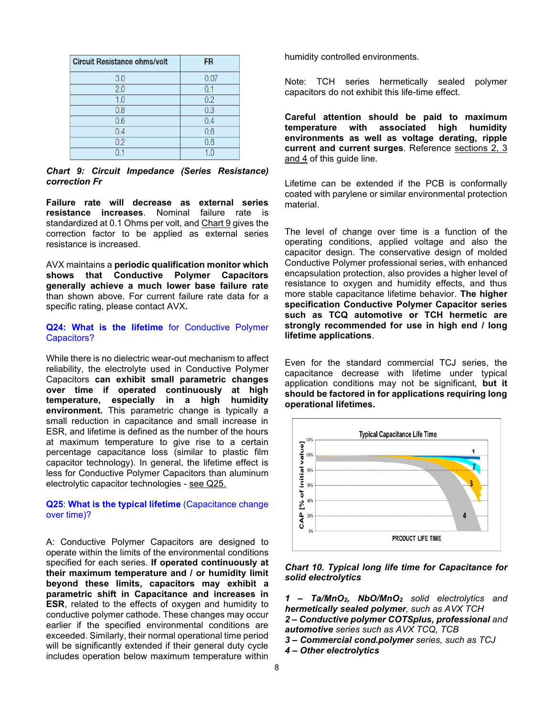| <b>Circuit Resistance ohms/volt</b> | <b>FR</b> |
|-------------------------------------|-----------|
| 3.0                                 | 0.07      |
| 2.0                                 | 0.1       |
| 1.0                                 | 0.2       |
| 0.8                                 | 0.3       |
| 0.6                                 | 0.4       |
| 0.4                                 | 0.6       |
| 0.2                                 | 0.8       |
|                                     | 1.0       |

*Chart 9: Circuit Impedance (Series Resistance) correction Fr*

**Failure rate will decrease as external series resistance increases**. Nominal failure rate is standardized at 0.1 Ohms per volt, and Chart 9 gives the correction factor to be applied as external series resistance is increased.

AVX maintains a **periodic qualification monitor which shows that Conductive Polymer Capacitors generally achieve a much lower base failure rate**  than shown above. For current failure rate data for a specific rating, please contact AVX**.** 

# **Q24: What is the lifetime** for Conductive Polymer Capacitors?

While there is no dielectric wear-out mechanism to affect reliability, the electrolyte used in Conductive Polymer Capacitors **can exhibit small parametric changes over time if operated continuously at high temperature, especially in a high humidity environment.** This parametric change is typically a small reduction in capacitance and small increase in ESR, and lifetime is defined as the number of the hours at maximum temperature to give rise to a certain percentage capacitance loss (similar to plastic film capacitor technology). In general, the lifetime effect is less for Conductive Polymer Capacitors than aluminum electrolytic capacitor technologies - see Q25.

# **Q25**: **What is the typical lifetime** (Capacitance change over time)?

A: Conductive Polymer Capacitors are designed to operate within the limits of the environmental conditions specified for each series. **If operated continuously at their maximum temperature and / or humidity limit beyond these limits, capacitors may exhibit a parametric shift in Capacitance and increases in ESR**, related to the effects of oxygen and humidity to conductive polymer cathode. These changes may occur earlier if the specified environmental conditions are exceeded. Similarly, their normal operational time period will be significantly extended if their general duty cycle includes operation below maximum temperature within

humidity controlled environments.

Note: TCH series hermetically sealed polymer capacitors do not exhibit this life-time effect.

**Careful attention should be paid to maximum temperature with associated high humidity environments as well as voltage derating, ripple current and current surges**. Reference sections 2, 3 and 4 of this guide line.

Lifetime can be extended if the PCB is conformally coated with parylene or similar environmental protection material.

The level of change over time is a function of the operating conditions, applied voltage and also the capacitor design. The conservative design of molded Conductive Polymer professional series, with enhanced encapsulation protection, also provides a higher level of resistance to oxygen and humidity effects, and thus more stable capacitance lifetime behavior. **The higher specification Conductive Polymer Capacitor series such as TCQ automotive or TCH hermetic are strongly recommended for use in high end / long lifetime applications**.

Even for the standard commercial TCJ series, the capacitance decrease with lifetime under typical application conditions may not be significant, **but it should be factored in for applications requiring long operational lifetimes.** 



# *Chart 10. Typical long life time for Capacitance for solid electrolytics*

*1 – Ta/MnO2, NbO/MnO<sup>2</sup> solid electrolytics and hermetically sealed polymer, such as AVX TCH*

*2 – Conductive polymer COTSplus, professional and automotive series such as AVX TCQ, TCB*

- *3 – Commercial cond.polymer series, such as TCJ*
- *4 – Other electrolytics*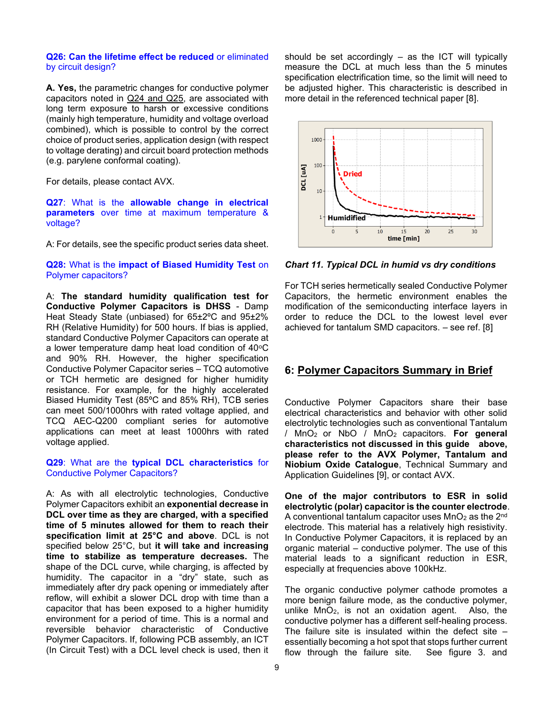#### **Q26: Can the lifetime effect be reduced** or eliminated by circuit design?

**A. Yes,** the parametric changes for conductive polymer capacitors noted in Q24 and Q25, are associated with long term exposure to harsh or excessive conditions (mainly high temperature, humidity and voltage overload combined), which is possible to control by the correct choice of product series, application design (with respect to voltage derating) and circuit board protection methods (e.g. parylene conformal coating).

For details, please contact AVX.

### **Q27**: What is the **allowable change in electrical parameters** over time at maximum temperature & voltage?

A: For details, see the specific product series data sheet.

**Q28:** What is the **impact of Biased Humidity Test** on Polymer capacitors?

A: **The standard humidity qualification test for Conductive Polymer Capacitors is DHSS** - Damp Heat Steady State (unbiased) for 65±2ºC and 95±2% RH (Relative Humidity) for 500 hours. If bias is applied, standard Conductive Polymer Capacitors can operate at a lower temperature damp heat load condition of  $40^{\circ}$ C and 90% RH. However, the higher specification Conductive Polymer Capacitor series – TCQ automotive or TCH hermetic are designed for higher humidity resistance. For example, for the highly accelerated Biased Humidity Test (85ºC and 85% RH), TCB series can meet 500/1000hrs with rated voltage applied, and TCQ AEC-Q200 compliant series for automotive applications can meet at least 1000hrs with rated voltage applied.

#### **Q29**: What are the **typical DCL characteristics** for Conductive Polymer Capacitors?

A: As with all electrolytic technologies, Conductive Polymer Capacitors exhibit an **exponential decrease in DCL over time as they are charged, with a specified time of 5 minutes allowed for them to reach their specification limit at 25°C and above**. DCL is not specified below 25°C, but **it will take and increasing time to stabilize as temperature decreases.** The shape of the DCL curve, while charging, is affected by humidity. The capacitor in a "dry" state, such as immediately after dry pack opening or immediately after reflow, will exhibit a slower DCL drop with time than a capacitor that has been exposed to a higher humidity environment for a period of time. This is a normal and reversible behavior characteristic of Conductive Polymer Capacitors. If, following PCB assembly, an ICT (In Circuit Test) with a DCL level check is used, then it

should be set accordingly – as the ICT will typically measure the DCL at much less than the 5 minutes specification electrification time, so the limit will need to be adjusted higher. This characteristic is described in more detail in the referenced technical paper [8].



*Chart 11. Typical DCL in humid vs dry conditions*

For TCH series hermetically sealed Conductive Polymer Capacitors, the hermetic environment enables the modification of the semiconducting interface layers in order to reduce the DCL to the lowest level ever achieved for tantalum SMD capacitors. – see ref. [8]

# **6: Polymer Capacitors Summary in Brief**

Conductive Polymer Capacitors share their base electrical characteristics and behavior with other solid electrolytic technologies such as conventional Tantalum / MnO2 or NbO / MnO2 capacitors. **For general characteristics not discussed in this guide above, please refer to the AVX Polymer, Tantalum and Niobium Oxide Catalogue**, Technical Summary and Application Guidelines [9], or contact AVX.

**One of the major contributors to ESR in solid electrolytic (polar) capacitor is the counter electrode**. A conventional tantalum capacitor uses  $MnO<sub>2</sub>$  as the  $2<sup>nd</sup>$ electrode. This material has a relatively high resistivity. In Conductive Polymer Capacitors, it is replaced by an organic material – conductive polymer. The use of this material leads to a significant reduction in ESR, especially at frequencies above 100kHz.

The organic conductive polymer cathode promotes a more benign failure mode, as the conductive polymer, unlike MnO2, is not an oxidation agent. Also, the conductive polymer has a different self-healing process. The failure site is insulated within the defect site  $$ essentially becoming a hot spot that stops further current flow through the failure site. See figure 3. and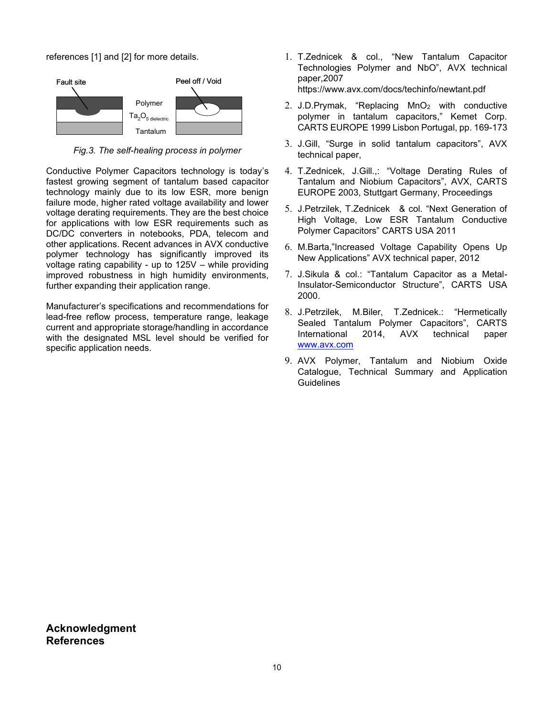references [1] and [2] for more details.



*Fig.3. The self-healing process in polymer*

Conductive Polymer Capacitors technology is today's fastest growing segment of tantalum based capacitor technology mainly due to its low ESR, more benign failure mode, higher rated voltage availability and lower voltage derating requirements. They are the best choice for applications with low ESR requirements such as DC/DC converters in notebooks, PDA, telecom and other applications. Recent advances in AVX conductive polymer technology has significantly improved its voltage rating capability - up to 125V – while providing improved robustness in high humidity environments, further expanding their application range.

Manufacturer's specifications and recommendations for lead-free reflow process, temperature range, leakage current and appropriate storage/handling in accordance with the designated MSL level should be verified for specific application needs.

- 1. T.Zednicek & col., "New Tantalum Capacitor Technologies Polymer and NbO", AVX technical paper,2007 https://www.avx.com/docs/techinfo/newtant.pdf
- 2. J.D.Prymak, "Replacing MnO<sup>2</sup> with conductive polymer in tantalum capacitors," Kemet Corp. CARTS EUROPE 1999 Lisbon Portugal, pp. 169-173
- 3. J.Gill, "Surge in solid tantalum capacitors", AVX technical paper,
- 4. T.Zednicek, J.Gill.,: "Voltage Derating Rules of Tantalum and Niobium Capacitors", AVX, CARTS EUROPE 2003, Stuttgart Germany, Proceedings
- 5. J.Petrzilek, T.Zednicek & col. "Next Generation of High Voltage, Low ESR Tantalum Conductive Polymer Capacitors" CARTS USA 2011
- 6. M.Barta,"Increased Voltage Capability Opens Up New Applications" AVX technical paper, 2012
- 7. J.Sikula & col.: "Tantalum Capacitor as a Metal-Insulator-Semiconductor Structure", CARTS USA 2000.
- 8. J.Petrzilek, M.Biler, T.Zednicek.: "Hermetically Sealed Tantalum Polymer Capacitors", CARTS International 2014, AVX technical paper [www.avx.com](http://www.avx.com/)
- 9. AVX Polymer, Tantalum and Niobium Oxide Catalogue, Technical Summary and Application **Guidelines**

**Acknowledgment References**